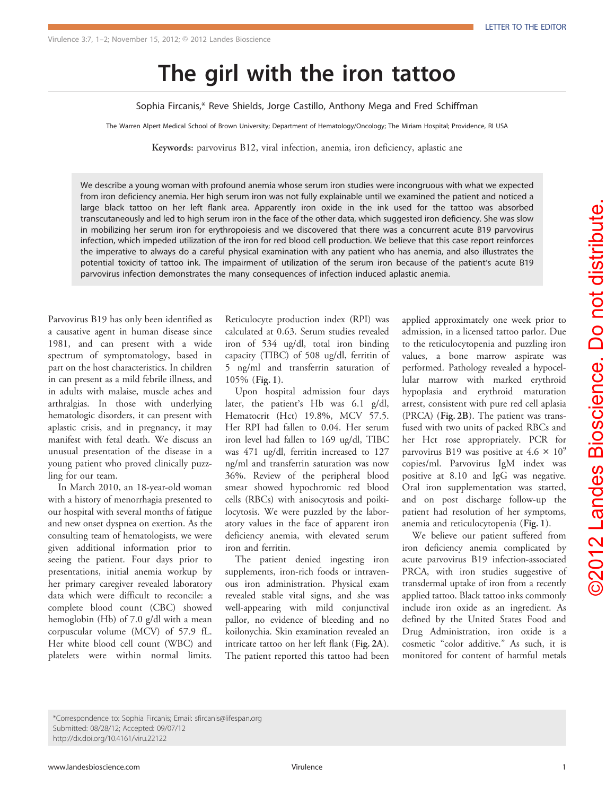The girl with the iron tattoo Sophia Fircanis,\* Reve Shields, Jorge Castillo, Anthony Mega and Fred Schiffman

The Warren Alpert Medical School of Brown University; Department of Hematology/Oncology; The Miriam Hospital; Providence, RI USA

Keywords: parvovirus B12, viral infection, anemia, iron deficiency, aplastic ane

We describe a young woman with profound anemia whose serum iron studies were incongruous with what we expected from iron deficiency anemia. Her high serum iron was not fully explainable until we examined the patient and noticed a large black tattoo on her left flank area. Apparently iron oxide in the ink used for the tattoo was absorbed transcutaneously and led to high serum iron in the face of the other data, which suggested iron deficiency. She was slow in mobilizing her serum iron for erythropoiesis and we discovered that there was a concurrent acute B19 parvovirus infection, which impeded utilization of the iron for red blood cell production. We believe that this case report reinforces the imperative to always do a careful physical examination with any patient who has anemia, and also illustrates the potential toxicity of tattoo ink. The impairment of utilization of the serum iron because of the patient's acute B19 parvovirus infection demonstrates the many consequences of infection induced aplastic anemia.

Parvovirus B19 has only been identified as a causative agent in human disease since 1981, and can present with a wide spectrum of symptomatology, based in part on the host characteristics. In children in can present as a mild febrile illness, and in adults with malaise, muscle aches and arthralgias. In those with underlying hematologic disorders, it can present with aplastic crisis, and in pregnancy, it may manifest with fetal death. We discuss an unusual presentation of the disease in a young patient who proved clinically puzzling for our team.

In March 2010, an 18-year-old woman with a history of menorrhagia presented to our hospital with several months of fatigue and new onset dyspnea on exertion. As the consulting team of hematologists, we were given additional information prior to seeing the patient. Four days prior to presentations, initial anemia workup by her primary caregiver revealed laboratory data which were difficult to reconcile: a complete blood count (CBC) showed hemoglobin (Hb) of 7.0 g/dl with a mean corpuscular volume (MCV) of 57.9 fL. Her white blood cell count (WBC) and platelets were within normal limits.

Reticulocyte production index (RPI) was calculated at 0.63. Serum studies revealed iron of 534 ug/dl, total iron binding capacity (TIBC) of 508 ug/dl, ferritin of 5 ng/ml and transferrin saturation of 105% ([Fig. 1](#page-1-0)).

Upon hospital admission four days later, the patient's Hb was 6.1 g/dl, Hematocrit (Hct) 19.8%, MCV 57.5. Her RPI had fallen to 0.04. Her serum iron level had fallen to 169 ug/dl, TIBC was 471 ug/dl, ferritin increased to 127 ng/ml and transferrin saturation was now 36%. Review of the peripheral blood smear showed hypochromic red blood cells (RBCs) with anisocytosis and poikilocytosis. We were puzzled by the laboratory values in the face of apparent iron deficiency anemia, with elevated serum iron and ferritin.

The patient denied ingesting iron supplements, iron-rich foods or intravenous iron administration. Physical exam revealed stable vital signs, and she was well-appearing with mild conjunctival pallor, no evidence of bleeding and no koilonychia. Skin examination revealed an intricate tattoo on her left flank ([Fig. 2A](#page-1-0)). The patient reported this tattoo had been

applied approximately one week prior to admission, in a licensed tattoo parlor. Due to the reticulocytopenia and puzzling iron values, a bone marrow aspirate was performed. Pathology revealed a hypocellular marrow with marked erythroid hypoplasia and erythroid maturation arrest, consistent with pure red cell aplasia (PRCA) ([Fig. 2B](#page-1-0)). The patient was transfused with two units of packed RBCs and her Hct rose appropriately. PCR for parvovirus B19 was positive at  $4.6 \times 10^9$ copies/ml. Parvovirus IgM index was positive at 8.10 and IgG was negative. Oral iron supplementation was started, and on post discharge follow-up the patient had resolution of her symptoms, anemia and reticulocytopenia ([Fig. 1](#page-1-0)).

We believe our patient suffered from iron deficiency anemia complicated by acute parvovirus B19 infection-associated PRCA, with iron studies suggestive of transdermal uptake of iron from a recently applied tattoo. Black tattoo inks commonly include iron oxide as an ingredient. As defined by the United States Food and Drug Administration, iron oxide is a cosmetic "color additive." As such, it is monitored for content of harmful metals